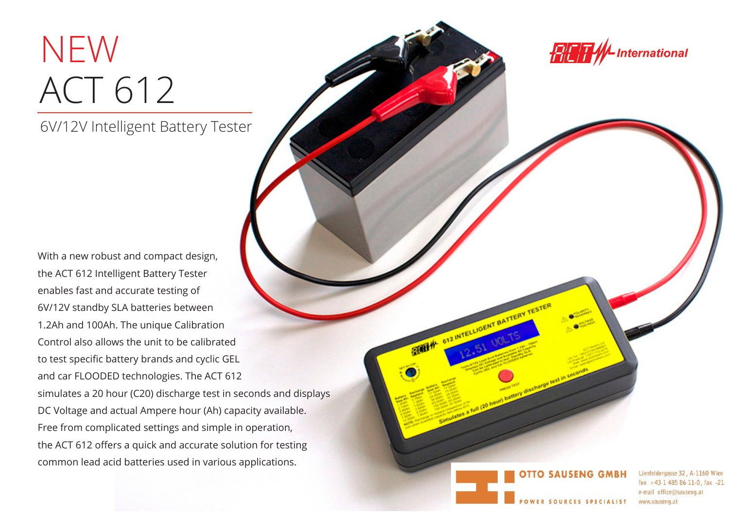## ACT 612 NEW

6V/12V Intelligent Battery Tester

With a new robust and compact design, the ACT 612 Intelligent Battery Tester enables fast and accurate testing of 6V/12V standby SLA batteries between 1.2Ah and 100Ah. The unique Calibration Control also allows the unit to be calibrated to test specific battery brands and cyclic GEL and car FLOODED technologies. The ACT 612 simulates a 20 hour (C20) discharge test in seconds and displays DC Voltage and actual Ampere hour (Ah) capacity available. Free from complicated settings and simple in operation, the ACT 612 offers a quick and accurate solution for testing common lead acid batteries used in various applications.

**International** RETH

**TTO SAUSENG** 

BRITAIN OF ANTELLIGENT BATTERY T

Lienfeldergasse 32, A-1160 Wien fon  $+43$  1 485 86 11-0, fax -21 e-mail office@sauseng.at www.sauseng.at